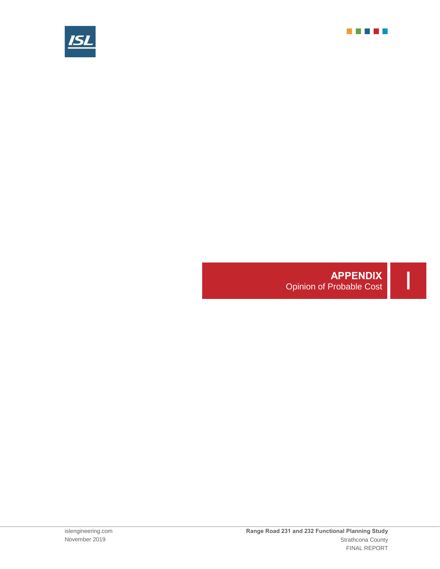



## **APPENDIX**<br>
Opinion of Probable Cost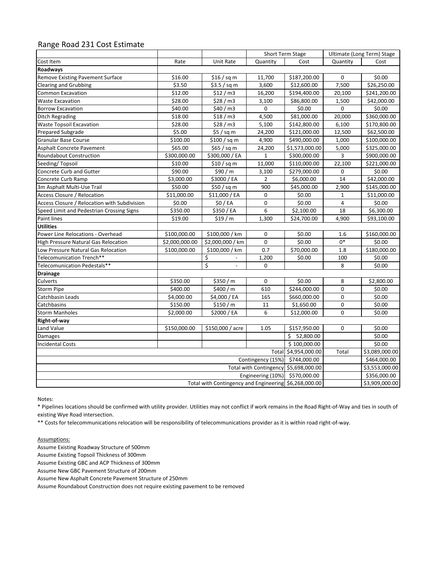## Range Road 231 Cost Estimate

|                                                       |                |                                | Short Term Stage |                      | Ultimate (Long Term) Stage |                                |  |
|-------------------------------------------------------|----------------|--------------------------------|------------------|----------------------|----------------------------|--------------------------------|--|
| Cost Item                                             | Rate           | Unit Rate                      | Quantity         | Cost                 | Quantity                   | Cost                           |  |
| Roadways                                              |                |                                |                  |                      |                            |                                |  |
| Remove Existing Pavement Surface                      | \$16.00        | \$16/ sq m                     | 11,700           | \$187,200.00         | 0                          | \$0.00                         |  |
| Clearing and Grubbing                                 | \$3.50         | \$3.5 / sq m                   | 3,600            | \$12,600.00          | 7,500                      | \$26,250.00                    |  |
| <b>Common Excavation</b>                              | \$12.00        | \$12 / m3                      | 16,200           | \$194,400.00         | 20,100                     | \$241,200.00                   |  |
| <b>Waste Excavation</b>                               | \$28.00        | \$28/m3                        | 3,100            | \$86,800.00          | 1,500                      | \$42,000.00                    |  |
| <b>Borrow Excavation</b>                              | \$40.00        | \$40/m3                        | 0                | \$0.00               | 0                          | \$0.00                         |  |
| <b>Ditch Regrading</b>                                | \$18.00        | \$18 / m3                      | 4,500            | \$81,000.00          | 20,000                     | \$360,000.00                   |  |
| <b>Waste Topsoil Excavation</b>                       | \$28.00        | $\frac{28}{10}$ m3             | 5,100            | \$142,800.00         | 6,100                      | \$170,800.00                   |  |
| Prepared Subgrade                                     | \$5.00         | $$5/$ sq m                     | 24,200           | \$121,000.00         | 12,500                     | \$62,500.00                    |  |
| <b>Granular Base Course</b>                           | \$100.00       | $$100$ / sq m                  | 4,900            | \$490,000.00         | 1,000                      | \$100,000.00                   |  |
| Asphalt Concrete Pavement                             | \$65.00        | \$65 / sq m                    | 24,200           | \$1,573,000.00       | 5,000                      | \$325,000.00                   |  |
| Roundabout Construction                               | \$300,000.00   | \$300,000 / EA                 | $\mathbf{1}$     | \$300,000.00         | 3                          | \$900,000.00                   |  |
| Seeding/Topsoil                                       | \$10.00        | \$10 / sq m                    | 11,000           | \$110,000.00         | 22,100                     | \$221,000.00                   |  |
| Concrete Curb and Gutter                              | \$90.00        | \$90 / m                       | 3,100            | \$279,000.00         | 0                          | \$0.00                         |  |
| Concrete Curb Ramp                                    | \$3,000.00     | \$3000 / EA                    | $\overline{2}$   | \$6,000.00           | 14                         | \$42,000.00                    |  |
| 3m Asphalt Multi-Use Trail                            | \$50.00        | \$50 / sq m                    | 900              | \$45,000.00          | 2,900                      | \$145,000.00                   |  |
| Access Closure / Relocation                           | \$11,000.00    | \$11,000 / EA                  | 0                | \$0.00               | $\mathbf{1}$               | \$11,000.00                    |  |
| Access Closure / Relocation with Subdivision          | \$0.00         | \$0/EA                         | 0                | \$0.00               | $\overline{4}$             | \$0.00                         |  |
| Speed Limit and Pedestrian Crossing Signs             | \$350.00       | \$350 / EA                     | $\overline{6}$   | \$2,100.00           | 18                         | \$6,300.00                     |  |
| Paint lines                                           | \$19.00        | \$19/m                         | 1,300            | \$24,700.00          | 4,900                      | \$93,100.00                    |  |
| <b>Utilities</b>                                      |                |                                |                  |                      |                            |                                |  |
| Power Line Relocations - Overhead                     | \$100,000.00   | \$100,000 / km                 | 0                | \$0.00               | 1.6                        | \$160,000.00                   |  |
| High Pressure Natural Gas Relocation                  | \$2,000,000.00 | \$2,000,000 / km               | 0                | \$0.00               | $0*$                       | \$0.00                         |  |
| Low Pressure Natural Gas Relocation                   | \$100,000.00   | \$100,000 / km                 | 0.7              | \$70,000.00          | 1.8                        | \$180,000.00                   |  |
| Telecomunication Trench**                             |                | \$<br>$\overline{\phantom{a}}$ | 1,200            | \$0.00               | 100                        | \$0.00                         |  |
| Telecomunication Pedestals**                          |                | \$                             | 0                |                      | 8                          | \$0.00                         |  |
| <b>Drainage</b>                                       |                |                                |                  |                      |                            |                                |  |
| Culverts                                              | \$350.00       | \$350/m                        | 0                | \$0.00               | 8                          | \$2,800.00                     |  |
| <b>Storm Pipe</b>                                     | \$400.00       | \$400 / m                      | 610              | \$244,000.00         | 0                          | \$0.00                         |  |
| Catchbasin Leads                                      | \$4,000.00     | \$4,000 / EA                   | 165              | \$660,000.00         | 0                          | \$0.00                         |  |
| Catchbasins                                           | \$150.00       | \$150/m                        | 11               | \$1,650.00           | 0                          | \$0.00                         |  |
| <b>Storm Manholes</b>                                 | \$2,000.00     | \$2000 / EA                    | 6                | \$12,000.00          | $\mathbf 0$                | \$0.00                         |  |
| Right-of-way                                          |                |                                |                  |                      |                            |                                |  |
| Land Value                                            | \$150,000.00   | \$150,000 / acre               | 1.05             | \$157,950.00         | 0                          | \$0.00                         |  |
| Damages                                               |                |                                |                  | \$ 52,800.00         |                            | \$0.00                         |  |
| <b>Incidental Costs</b>                               |                |                                |                  | \$100,000.00         |                            | \$0.00                         |  |
|                                                       |                |                                |                  | Total \$4,954,000.00 | Total                      | \$3,089,000.00                 |  |
| Contingency (15%) \$744,000.00                        |                |                                |                  |                      |                            | \$464,000.00                   |  |
| Total with Contingency \$5,698,000.00                 |                |                                |                  |                      |                            | \$3,553,000.00                 |  |
| Engineering (10%) \$570,000.00                        |                |                                |                  |                      |                            | \$356,000.00<br>\$3,909,000.00 |  |
| Total with Contingency and Engineering \$6,268,000.00 |                |                                |                  |                      |                            |                                |  |

Notes:

\* Pipelines locations should be confirmed with utility provider. Utilities may not conflict if work remains in the Road Right-of-Way and ties in south of existing Wye Road intersection.

\*\* Costs for telecommunications relocation will be responsibility of telecommunications provider as it is within road right-of-way.

## Assumptions:

Assume Existing Roadway Structure of 500mm

Assume Existing Topsoil Thickness of 300mm

Assume Existing GBC and ACP Thickness of 300mm

Assume New GBC Pavement Structure of 200mm

Assume New Asphalt Concrete Pavement Structure of 250mm

Assume Roundabout Construction does not require existing pavement to be removed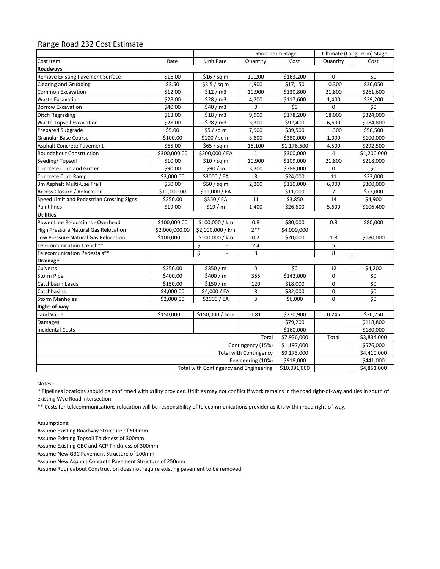## Range Road 232 Cost Estimate

|                                             |                |                  | Short Term Stage |             | Ultimate (Long Term) Stage |             |
|---------------------------------------------|----------------|------------------|------------------|-------------|----------------------------|-------------|
| Cost Item                                   | Rate           | Unit Rate        | Quantity         | Cost        | Quantity                   | Cost        |
| Roadways                                    |                |                  |                  |             |                            |             |
| Remove Existing Pavement Surface            | \$16.00        | \$16 / sq m      | 10,200           | \$163,200   | 0                          | \$0         |
| <b>Clearing and Grubbing</b>                | \$3.50         | \$3.5 / sq m     | 4,900            | \$17,150    | 10,300                     | \$36,050    |
| <b>Common Excavation</b>                    | \$12.00        | \$12/m3          | 10,900           | \$130,800   | 21,800                     | \$261,600   |
| <b>Waste Excavation</b>                     | \$28.00        | \$28 / m3        | 4,200            | \$117,600   | 1,400                      | \$39,200    |
| <b>Borrow Excavation</b>                    | \$40.00        | \$40/m3          | 0                | \$0         | 0                          | \$0         |
| Ditch Regrading                             | \$18.00        | \$18/m3          | 9,900            | \$178,200   | 18,000                     | \$324,000   |
| <b>Waste Topsoil Excavation</b>             | \$28.00        | \$28/m3          | 3,300            | \$92,400    | 6,600                      | \$184,800   |
| <b>Prepared Subgrade</b>                    | \$5.00         | $$5/$ sq m       | 7,900            | \$39,500    | 11,300                     | \$56,500    |
| Granular Base Course                        | \$100.00       | \$100 / sq m     | 3,800            | \$380,000   | 1,000                      | \$100,000   |
| Asphalt Concrete Pavement                   | \$65.00        | \$65 / sq m      | 18,100           | \$1,176,500 | 4,500                      | \$292,500   |
| <b>Roundabout Construction</b>              | \$300,000.00   | \$300,000 / EA   | $\mathbf{1}$     | \$300,000   | 4                          | \$1,200,000 |
| Seeding/Topsoil                             | \$10.00        | \$10 / sq m      | 10,900           | \$109,000   | 21,800                     | \$218,000   |
| Concrete Curb and Gutter                    | \$90.00        | \$90 / m         | 3,200            | \$288,000   | 0                          | \$0         |
| Concrete Curb Ramp                          | \$3,000.00     | \$3000 / EA      | 8                | \$24,000    | 11                         | \$33,000    |
| 3m Asphalt Multi-Use Trail                  | \$50.00        | \$50 / sq m      | 2,200            | \$110,000   | 6,000                      | \$300,000   |
| Access Closure / Relocation                 | \$11,000.00    | \$11,000 / EA    | $\mathbf{1}$     | \$11,000    | $\overline{7}$             | \$77,000    |
| Speed Limit and Pedestrian Crossing Signs   | \$350.00       | \$350 / EA       | 11               | \$3,850     | 14                         | \$4,900     |
| Paint lines                                 | \$19.00        | \$19/m           | 1,400            | \$26,600    | 5,600                      | \$106,400   |
| <b>Utilities</b>                            |                |                  |                  |             |                            |             |
| Power Line Relocations - Overhead           | \$100,000.00   | \$100,000 / km   | 0.8              | \$80,000    | 0.8                        | \$80,000    |
| <b>High Pressure Natural Gas Relocation</b> | \$2,000,000.00 | \$2,000,000 / km | $2***$           | \$4,000,000 |                            |             |
| Low Pressure Natural Gas Relocation         | \$100,000.00   | \$100,000 / km   | 0.2              | \$20,000    | 1.8                        | \$180,000   |
| Telecomunication Trench**                   |                | \$               | 2.4              |             | 5                          |             |
| Telecomunication Pedestals**                |                | \$               | 8                |             | 8                          |             |
| <b>Drainage</b>                             |                |                  |                  |             |                            |             |
| Culverts                                    | \$350.00       | \$350 / m        | 0                | \$0         | 12                         | \$4,200     |
| <b>Storm Pipe</b>                           | \$400.00       | \$400 / m        | 355              | \$142,000   | 0                          | \$0         |
| Catchbasin Leads                            | \$150.00       | \$150/m          | 120              | \$18,000    | 0                          | \$0         |
| Catchbasins                                 | \$4,000.00     | \$4,000 / EA     | 8                | \$32,000    | 0                          | \$0         |
| <b>Storm Manholes</b>                       | \$2,000.00     | \$2000 / EA      | 3                | \$6,000     | 0                          | \$0         |
| Right-of-way                                |                |                  |                  |             |                            |             |
| Land Value                                  | \$150,000.00   | \$150,000 / acre | 1.81             | \$270,900   | 0.245                      | \$36,750    |
| Damages                                     |                |                  |                  | \$79,200    |                            | \$118,800   |
| <b>Incidental Costs</b>                     |                |                  |                  | \$160,000   |                            | \$180,000   |
| Total                                       |                |                  |                  |             | Total                      | \$3,834,000 |
| Contingency (15%)                           |                |                  |                  |             |                            | \$576,000   |
| <b>Total with Contingency</b>               |                |                  |                  |             |                            | \$4,410,000 |
| Engineering (10%)                           |                |                  |                  |             |                            | \$441,000   |
| Total with Contingency and Engineering      |                |                  |                  |             |                            | \$4,851,000 |

Notes:

\* Pipelines locations should be confirmed with utility provider. Utilities may not conflict if work remains in the road right-of-way and ties in south of existing Wye Road intersection.

\*\* Costs for telecommunications relocation will be responsibility of telecommunications provider as it is within road right-of-way.

Assumptions:

Assume Existing Roadway Structure of 500mm

Assume Existing Topsoil Thickness of 300mm

Assume Existing GBC and ACP Thickness of 300mm

Assume New GBC Pavement Structure of 200mm

Assume New Asphalt Concrete Pavement Structure of 250mm

Assume Roundabout Construction does not require existing pavement to be removed